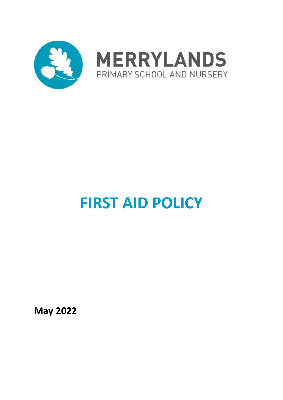

# **FIRST AID POLICY**

**May 2022**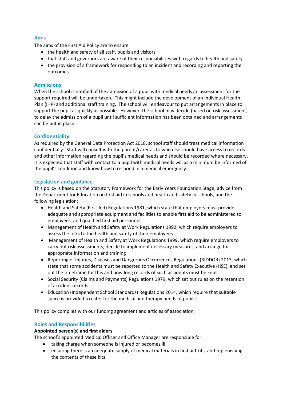# **Aims**

The aims of the First Aid Policy are to ensure

- the health and safety of all staff, pupils and visitors
- that staff and governors are aware of their responsibilities with regards to health and safety
- the provision of a framework for responding to an incident and recording and reporting the outcomes

# **Admissions**

When the school is notified of the admission of a pupil with medical needs an assessment for the support required will be undertaken. This might include the development of an Individual Health Plan (IHP) and additional staff training. The school will endeavour to put arrangements in place to support the pupil as quickly as possible. However, the school may decide (based on risk assessment) to delay the admission of a pupil until sufficient information has been obtained and arrangements can be put in place.

# **Confidentiality**

As required by the General Data Protection Act 2018, school staff should treat medical information confidentially. Staff will consult with the parent/carer as to who else should have access to records and other information regarding the pupil's medical needs and should be recorded where necessary. It is expected that staff with contact to a pupil with medical needs will as a minimum be informed of the pupil's condition and know how to respond in a medical emergency.

# **Legislation and guidance**

This policy is based on the [Statutory Framework for the Early Years Foundation Stage,](https://www.gov.uk/government/uploads/system/uploads/attachment_data/file/596629/EYFS_STATUTORY_FRAMEWORK_2017.pdf) advice from the Department for Education on [first aid in schools](https://www.gov.uk/government/publications/first-aid-in-schools) and [health and safety in schools,](https://www.gov.uk/government/publications/health-and-safety-advice-for-schools) and the following legislation:

- [Health and Safety \(First Aid\) Regulations 1981,](http://www.legislation.gov.uk/uksi/1981/917/regulation/3/made) which state that employers must provide adequate and appropriate equipment and facilities to enable first aid to be administered to employees, and qualified first aid personnel
- [Management of Health and Safety at Work Regulations 1992,](http://www.legislation.gov.uk/uksi/1992/2051/regulation/3/made) which require employers to assess the risks to the health and safety of their employees
- [Management of Health and Safety at Work Regulations 1999,](http://www.legislation.gov.uk/uksi/1999/3242/contents/made) which require employers to carry out risk assessments, decide to implement necessary measures, and arrange for appropriate information and training
- [Reporting of Injuries, Diseases and Dangerous Occurrences Regulations \(RIDDOR\) 2013,](http://www.legislation.gov.uk/uksi/2013/1471/schedule/1/paragraph/1/made) which state that some accidents must be reported to the Health and Safety Executive (HSE), and set out the timeframe for this and how long records of such accidents must be kept
- Social [Security \(Claims and Payments\) Regulations 1979,](http://www.legislation.gov.uk/uksi/1979/628) which set out rules on the retention of accident records
- [Education \(Independent School Standards\) Regulations 2014,](http://www.legislation.gov.uk/uksi/2014/3283/schedule/made) which require that suitable space is provided to cater for the medical and therapy needs of pupils

This policy complies with our funding agreement and articles of association.

# **Roles and Responsibilities**

#### **Appointed person(s) and first aiders**

The school's appointed Medical Officer and Office Manager are responsible for:

- taking charge when someone is injured or becomes ill
- ensuring there is an adequate supply of medical materials in first aid kits, and replenishing the contents of these kits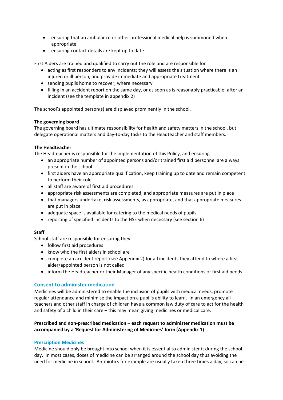- ensuring that an ambulance or other professional medical help is summoned when appropriate
- ensuring contact details are kept up to date

First Aiders are trained and qualified to carry out the role and are responsible for

- acting as first responders to any incidents; they will assess the situation where there is an injured or ill person, and provide immediate and appropriate treatment
- sending pupils home to recover, where necessary
- filling in an accident report on the same day, or as soon as is reasonably practicable, after an incident (see the template in appendix 2)

The school's appointed person(s) are displayed prominently in the school.

# **The governing board**

The governing board has ultimate responsibility for health and safety matters in the school, but delegate operational matters and day-to-day tasks to the Headteacher and staff members.

# **The Headteacher**

The Headteacher is responsible for the implementation of this Policy, and ensuring

- an appropriate number of appointed persons and/or trained first aid personnel are always present in the school
- first aiders have an appropriate qualification, keep training up to date and remain competent to perform their role
- all staff are aware of first aid procedures
- appropriate risk assessments are completed, and appropriate measures are put in place
- that managers undertake, risk assessments, as appropriate, and that appropriate measures are put in place
- adequate space is available for catering to the medical needs of pupils
- reporting of specified incidents to the HSE when necessary (see section 6)

# **Staff**

School staff are responsible for ensuring they

- follow first aid procedures
- know who the first aiders in school are
- complete an accident report (see Appendix 2) for all incidents they attend to where a first aider/appointed person is not called
- inform the Headteacher or their Manager of any specific health conditions or first aid needs

# **Consent to administer medication**

Medicines will be administered to enable the inclusion of pupils with medical needs, promote regular attendance and minimise the impact on a pupil's ability to learn. In an emergency all teachers and other staff in charge of children have a common law duty of care to act for the health and safety of a child in their care – this may mean giving medicines or medical care.

# **Prescribed and non-prescribed medication – each request to administer medication must be accompanied by a 'Request for Administering of Medicines' form (Appendix 1)**

#### **Prescription Medicines**

Medicine should only be brought into school when it is essential to administer it during the school day. In most cases, doses of medicine can be arranged around the school day thus avoiding the need for medicine in school. Antibiotics for example are usually taken three times a day, so can be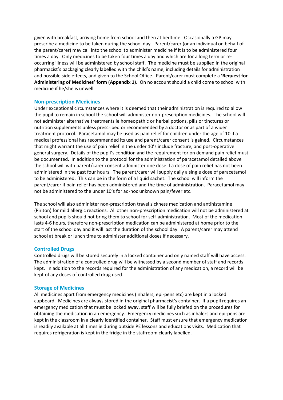given with breakfast, arriving home from school and then at bedtime. Occasionally a GP may prescribe a medicine to be taken during the school day. Parent/carer (or an individual on behalf of the parent/carer) may call into the school to administer medicine if it is to be administered four times a day. Only medicines to be taken four times a day and which are for a long term or reoccurring illness will be administered by school staff. The medicine must be supplied in the original pharmacist's packaging clearly labelled with the child's name, including details for administration and possible side effects, and given to the School Office. Parent/carer must complete a **'Request for Administering of Medicines' form (Appendix 1).** On no account should a child come to school with medicine if he/she is unwell.

#### **Non-prescription Medicines**

Under exceptional circumstances where it is deemed that their administration is required to allow the pupil to remain in school the school will administer non-prescription medicines. The school will not administer alternative treatments ie homeopathic or herbal potions, pills or tinctures or nutrition supplements unless prescribed or recommended by a doctor or as part of a wider treatment protocol. Paracetamol may be used as pain relief for children under the age of 10 if a medical professional has recommended its use and parent/carer consent is gained. Circumstances that might warrant the use of pain relief in the under 10's include fracture, and post-operative general surgery. Details of the pupil's condition and the requirement for on demand pain relief must be documented. In addition to the protocol for the administration of paracetamol detailed above the school will with parent/carer consent administer one dose if a dose of pain relief has not been administered in the past four hours. The parent/carer will supply daily a single dose of paracetamol to be administered. This can be in the form of a liquid sachet. The school will inform the parent/carer if pain relief has been administered and the time of administration. Paracetamol may not be administered to the under 10's for ad-hoc unknown pain/fever etc.

The school will also administer non-prescription travel sickness medication and antihistamine (Piriton) for mild allergic reactions. All other non-prescription medication will not be administered at school and pupils should not bring them to school for self-administration. Most of the medication lasts 4-6 hours, therefore non-prescription medication can be administered at home prior to the start of the school day and it will last the duration of the school day. A parent/carer may attend school at break or lunch time to administer additional doses if necessary.

#### **Controlled Drugs**

Controlled drugs will be stored securely in a locked container and only named staff will have access. The administration of a controlled drug will be witnessed by a second member of staff and records kept. In addition to the records required for the administration of any medication, a record will be kept of any doses of controlled drug used.

#### **Storage of Medicines**

All medicines apart from emergency medicines (inhalers, epi-pens etc) are kept in a locked cupboard. Medicines are always stored in the original pharmacist's container. If a pupil requires an emergency medication that must be locked away, staff will be fully briefed on the procedures for obtaining the medication in an emergency. Emergency medicines such as inhalers and epi-pens are kept in the classroom in a clearly identified container. Staff must ensure that emergency medication is readily available at all times ie during outside PE lessons and educations visits. Medication that requires refrigeration is kept in the fridge in the staffroom clearly labelled.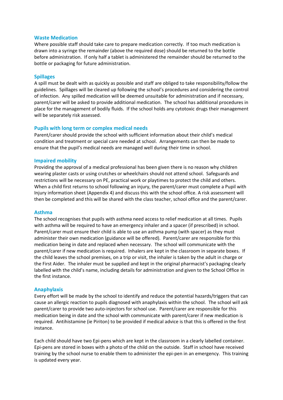#### **Waste Medication**

Where possible staff should take care to prepare medication correctly. If too much medication is drawn into a syringe the remainder (above the required dose) should be returned to the bottle before administration. If only half a tablet is administered the remainder should be returned to the bottle or packaging for future administration.

#### **Spillages**

A spill must be dealt with as quickly as possible and staff are obliged to take responsibility/follow the guidelines. Spillages will be cleared up following the school's procedures and considering the control of infection. Any spilled medication will be deemed unsuitable for administration and if necessary, parent/carer will be asked to provide additional medication. The school has additional procedures in place for the management of bodily fluids. If the school holds any cytotoxic drugs their management will be separately risk assessed.

#### **Pupils with long term or complex medical needs**

Parent/carer should provide the school with sufficient information about their child's medical condition and treatment or special care needed at school. Arrangements can then be made to ensure that the pupil's medical needs are managed well during their time in school.

#### **Impaired mobility**

Providing the approval of a medical professional has been given there is no reason why children wearing plaster casts or using crutches or wheelchairs should not attend school. Safeguards and restrictions will be necessary on PE, practical work or playtimes to protect the child and others. When a child first returns to school following an injury, the parent/carer must complete a Pupil with Injury information sheet (Appendix 4) and discuss this with the school office. A risk assessment will then be completed and this will be shared with the class teacher, school office and the parent/carer.

#### **Asthma**

The school recognises that pupils with asthma need access to relief medication at all times. Pupils with asthma will be required to have an emergency inhaler and a spacer (if prescribed) in school. Parent/carer must ensure their child is able to use an asthma pump (with spacer) as they must administer their own medication (guidance will be offered). Parent/carer are responsible for this medication being in date and replaced when necessary. The school will communicate with the parent/carer if new medication is required. Inhalers are kept in the classroom in separate boxes. If the child leaves the school premises, on a trip or visit, the inhaler is taken by the adult in charge or the First Aider. The inhaler must be supplied and kept in the original pharmacist's packaging clearly labelled with the child's name, including details for administration and given to the School Office in the first instance.

#### **Anaphylaxis**

Every effort will be made by the school to identify and reduce the potential hazards/triggers that can cause an allergic reaction to pupils diagnosed with anaphylaxis within the school. The school will ask parent/carer to provide two auto-injectors for school use. Parent/carer are responsible for this medication being in date and the school with communicate with parent/carer if new medication is required. Antihistamine (ie Piriton) to be provided if medical advice is that this is offered in the first instance.

Each child should have two Epi-pens which are kept in the classroom in a clearly labelled container. Epi-pens are stored in boxes with a photo of the child on the outside. Staff in school have received training by the school nurse to enable them to administer the epi-pen in an emergency. This training is updated every year.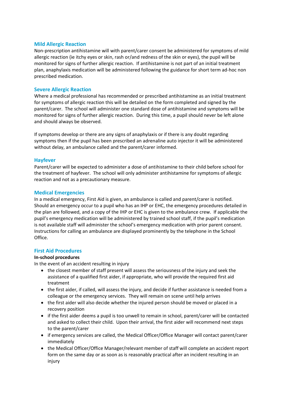#### **Mild Allergic Reaction**

Non-prescription antihistamine will with parent/carer consent be administered for symptoms of mild allergic reaction (ie itchy eyes or skin, rash or/and redness of the skin or eyes), the pupil will be monitored for signs of further allergic reaction. If antihistamine is not part of an initial treatment plan, anaphylaxis medication will be administered following the guidance for short term ad-hoc non prescribed medication.

#### **Severe Allergic Reaction**

Where a medical professional has recommended or prescribed antihistamine as an initial treatment for symptoms of allergic reaction this will be detailed on the form completed and signed by the parent/carer. The school will administer one standard dose of antihistamine and symptoms will be monitored for signs of further allergic reaction. During this time, a pupil should never be left alone and should always be observed.

If symptoms develop or there are any signs of anaphylaxis or if there is any doubt regarding symptoms then if the pupil has been prescribed an adrenaline auto injector it will be administered without delay, an ambulance called and the parent/carer informed.

#### **Hayfever**

Parent/carer will be expected to administer a dose of antihistamine to their child before school for the treatment of hayfever. The school will only administer antihistamine for symptoms of allergic reaction and not as a precautionary measure.

#### **Medical Emergencies**

In a medical emergency, First Aid is given, an ambulance is called and parent/carer is notified. Should an emergency occur to a pupil who has an IHP or EHC, the emergency procedures detailed in the plan are followed, and a copy of the IHP or EHC is given to the ambulance crew. If applicable the pupil's emergency medication will be administered by trained school staff, if the pupil's medication is not available staff will administer the school's emergency medication with prior parent consent. Instructions for calling an ambulance are displayed prominently by the telephone in the School Office.

#### **First Aid Procedures**

#### **In-school procedures**

In the event of an accident resulting in injury

- the closest member of staff present will assess the seriousness of the injury and seek the assistance of a qualified first aider, if appropriate, who will provide the required first aid treatment
- the first aider, if called, will assess the injury, and decide if further assistance is needed from a colleague or the emergency services. They will remain on scene until help arrives
- the first aider will also decide whether the injured person should be moved or placed in a recovery position
- if the first aider deems a pupil is too unwell to remain in school, parent/carer will be contacted and asked to collect their child. Upon their arrival, the first aider will recommend next steps to the parent/carer
- if emergency services are called, the Medical Officer/Office Manager will contact parent/carer immediately
- the Medical Officer/Office Manager/relevant member of staff will complete an accident report form on the same day or as soon as is reasonably practical after an incident resulting in an injury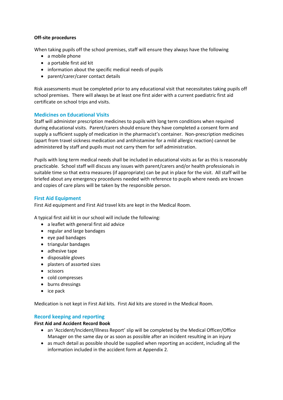# **Off-site procedures**

When taking pupils off the school premises, staff will ensure they always have the following

- a mobile phone
- a portable first aid kit
- information about the specific medical needs of pupils
- parent/carer/carer contact details

Risk assessments must be completed prior to any educational visit that necessitates taking pupils off school premises. There will always be at least one first aider with a current paediatric first aid certificate on school trips and visits.

# **Medicines on Educational Visits**

Staff will administer prescription medicines to pupils with long term conditions when required during educational visits. Parent/carers should ensure they have completed a consent form and supply a sufficient supply of medication in the pharmacist's container. Non-prescription medicines (apart from travel sickness medication and antihistamine for a mild allergic reaction) cannot be administered by staff and pupils must not carry them for self administration.

Pupils with long term medical needs shall be included in educational visits as far as this is reasonably practicable. School staff will discuss any issues with parent/carers and/or health professionals in suitable time so that extra measures (if appropriate) can be put in place for the visit. All staff will be briefed about any emergency procedures needed with reference to pupils where needs are known and copies of care plans will be taken by the responsible person.

# **First Aid Equipment**

First Aid equipment and First Aid travel kits are kept in the Medical Room.

A typical first aid kit in our school will include the following:

- a leaflet with general first aid advice
- regular and large bandages
- eye pad bandages
- triangular bandages
- adhesive tape
- disposable gloves
- plasters of assorted sizes
- scissors
- cold compresses
- burns dressings
- ice pack

Medication is not kept in First Aid kits. First Aid kits are stored in the Medical Room.

# **Record keeping and reporting**

#### **First Aid and Accident Record Book**

- an 'Accident/Incident/Illness Report' slip will be completed by the Medical Officer/Office Manager on the same day or as soon as possible after an incident resulting in an injury
- as much detail as possible should be supplied when reporting an accident, including all the information included in the accident form at Appendix 2.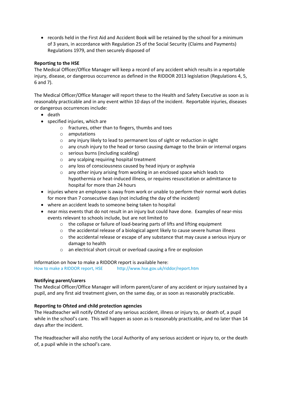• records held in the First Aid and Accident Book will be retained by the school for a minimum of 3 years, in accordance with Regulation 25 of the Social Security (Claims and Payments) Regulations 1979, and then securely disposed of

# **Reporting to the HSE**

The Medical Officer/Office Manager will keep a record of any accident which results in a reportable injury, disease, or dangerous occurrence as defined in the RIDDOR 2013 legislation (Regulations 4, 5, 6 and 7).

The Medical Officer/Office Manager will report these to the Health and Safety Executive as soon as is reasonably practicable and in any event within 10 days of the incident. Reportable injuries, diseases or dangerous occurrences include:

- death
- specified injuries, which are
	- o fractures, other than to fingers, thumbs and toes
	- o amputations
	- o any injury likely to lead to permanent loss of sight or reduction in sight
	- $\circ$  any crush injury to the head or torso causing damage to the brain or internal organs
	- o serious burns (including scalding)
	- o any scalping requiring hospital treatment
	- o any loss of consciousness caused by head injury or asphyxia
	- o any other injury arising from working in an enclosed space which leads to hypothermia or heat-induced illness, or requires resuscitation or admittance to hospital for more than 24 hours
- injuries where an employee is away from work or unable to perform their normal work duties for more than 7 consecutive days (not including the day of the incident)
- where an accident leads to someone being taken to hospital
- near miss events that do not result in an injury but could have done. Examples of near-miss events relevant to schools include, but are not limited to
	- o the collapse or failure of load-bearing parts of lifts and lifting equipment
	- o the accidental release of a biological agent likely to cause severe human illness
	- $\circ$  the accidental release or escape of any substance that may cause a serious injury or damage to health
	- o an electrical short circuit or overload causing a fire or explosion

Information on how to make a RIDDOR report is available here: [How to make a RIDDOR report, HSE](http://www.hse.gov.uk/riddor/report.htm) <http://www.hse.gov.uk/riddor/report.htm>

#### **Notifying parent/carers**

The Medical Officer/Office Manager will inform parent/carer of any accident or injury sustained by a pupil, and any first aid treatment given, on the same day, or as soon as reasonably practicable.

#### **Reporting to Ofsted and child protection agencies**

The Headteacher will notify Ofsted of any serious accident, illness or injury to, or death of, a pupil while in the school's care. This will happen as soon as is reasonably practicable, and no later than 14 days after the incident.

The Headteacher will also notify the Local Authority of any serious accident or injury to, or the death of, a pupil while in the school's care.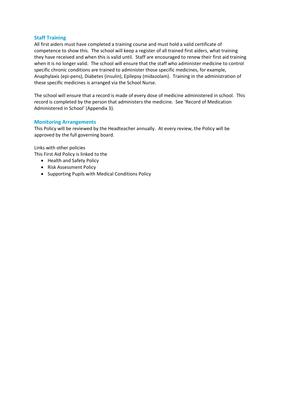# **Staff Training**

All first aiders must have completed a training course and must hold a valid certificate of competence to show this. The school will keep a register of all trained first aiders, what training they have received and when this is valid until. Staff are encouraged to renew their first aid training when it is no longer valid. The school will ensure that the staff who administer medicine to control specific chronic conditions are trained to administer those specific medicines, for example, Anaphylaxis (epi-pens), Diabetes (insulin), Epilepsy (midazolam). Training in the administration of these specific medicines is arranged via the School Nurse.

The school will ensure that a record is made of every dose of medicine administered in school. This record is completed by the person that administers the medicine. See 'Record of Medication Administered in School' (Appendix 3).

#### **Monitoring Arrangements**

This Policy will be reviewed by the Headteacher annually. At every review, the Policy will be approved by the full governing board.

Links with other policies This First Aid Policy is linked to the

- Health and Safety Policy
- Risk Assessment Policy
- Supporting Pupils with Medical Conditions Policy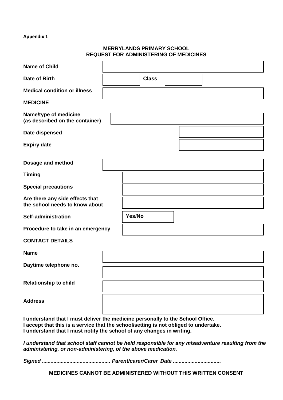# **MERRYLANDS PRIMARY SCHOOL REQUEST FOR ADMINISTERING OF MEDICINES**

| <b>Name of Child</b>                                                                                                                                                                                                                            |        |              |  |  |  |  |
|-------------------------------------------------------------------------------------------------------------------------------------------------------------------------------------------------------------------------------------------------|--------|--------------|--|--|--|--|
| Date of Birth                                                                                                                                                                                                                                   |        | <b>Class</b> |  |  |  |  |
| <b>Medical condition or illness</b>                                                                                                                                                                                                             |        |              |  |  |  |  |
| <b>MEDICINE</b>                                                                                                                                                                                                                                 |        |              |  |  |  |  |
| Name/type of medicine<br>(as described on the container)                                                                                                                                                                                        |        |              |  |  |  |  |
| Date dispensed                                                                                                                                                                                                                                  |        |              |  |  |  |  |
| <b>Expiry date</b>                                                                                                                                                                                                                              |        |              |  |  |  |  |
| Dosage and method                                                                                                                                                                                                                               |        |              |  |  |  |  |
| <b>Timing</b>                                                                                                                                                                                                                                   |        |              |  |  |  |  |
| <b>Special precautions</b>                                                                                                                                                                                                                      |        |              |  |  |  |  |
| Are there any side effects that<br>the school needs to know about                                                                                                                                                                               |        |              |  |  |  |  |
| Self-administration                                                                                                                                                                                                                             | Yes/No |              |  |  |  |  |
| Procedure to take in an emergency                                                                                                                                                                                                               |        |              |  |  |  |  |
| <b>CONTACT DETAILS</b>                                                                                                                                                                                                                          |        |              |  |  |  |  |
| <b>Name</b>                                                                                                                                                                                                                                     |        |              |  |  |  |  |
| Daytime telephone no.                                                                                                                                                                                                                           |        |              |  |  |  |  |
| <b>Relationship to child</b>                                                                                                                                                                                                                    |        |              |  |  |  |  |
| <b>Address</b>                                                                                                                                                                                                                                  |        |              |  |  |  |  |
| I understand that I must deliver the medicine personally to the School Office.<br>I accept that this is a service that the school/setting is not obliged to undertake.<br>I understand that I must notify the school of any changes in writing. |        |              |  |  |  |  |
| I understand that school staff cannot be held responsible for any misadventure resulting from the<br>administering, or non-administering, of the above medication.                                                                              |        |              |  |  |  |  |

*Signed ............................................... Parent/carer/Carer Date .................................*

**MEDICINES CANNOT BE ADMINISTERED WITHOUT THIS WRITTEN CONSENT**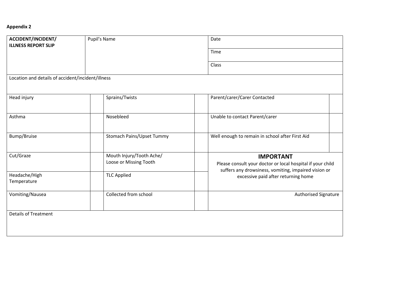| ACCIDENT/INCIDENT/<br><b>ILLNESS REPORT SLIP</b>  | Pupil's Name                     | Date                                                                                                               |
|---------------------------------------------------|----------------------------------|--------------------------------------------------------------------------------------------------------------------|
|                                                   |                                  | Time                                                                                                               |
|                                                   |                                  | Class                                                                                                              |
| Location and details of accident/incident/illness |                                  |                                                                                                                    |
|                                                   |                                  |                                                                                                                    |
| Head injury                                       | Sprains/Twists                   | Parent/carer/Carer Contacted                                                                                       |
|                                                   |                                  |                                                                                                                    |
| Asthma                                            | Nosebleed                        | Unable to contact Parent/carer                                                                                     |
|                                                   |                                  |                                                                                                                    |
| Bump/Bruise                                       | <b>Stomach Pains/Upset Tummy</b> | Well enough to remain in school after First Aid                                                                    |
|                                                   |                                  |                                                                                                                    |
| Cut/Graze                                         | Mouth Injury/Tooth Ache/         | <b>IMPORTANT</b>                                                                                                   |
|                                                   | Loose or Missing Tooth           | Please consult your doctor or local hospital if your child<br>suffers any drowsiness, vomiting, impaired vision or |
| Headache/High                                     | <b>TLC Applied</b>               | excessive paid after returning home                                                                                |
| Temperature                                       |                                  |                                                                                                                    |
| Vomiting/Nausea                                   | Collected from school            | Authorised Signature                                                                                               |
|                                                   |                                  |                                                                                                                    |
| <b>Details of Treatment</b>                       |                                  |                                                                                                                    |
|                                                   |                                  |                                                                                                                    |
|                                                   |                                  |                                                                                                                    |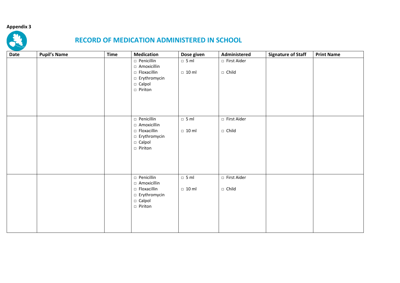

# **RECORD OF MEDICATION ADMINISTERED IN SCHOOL**

| Date | <b>Pupil's Name</b> | <b>Time</b> | <b>Medication</b>                                                  | Dose given                  | Administered                  | <b>Signature of Staff</b> | <b>Print Name</b> |
|------|---------------------|-------------|--------------------------------------------------------------------|-----------------------------|-------------------------------|---------------------------|-------------------|
|      |                     |             | □ Penicillin<br>□ Amoxicillin<br>$\Box$ Floxacillin                | $\Box$ 5 ml<br>$\Box$ 10 ml | □ First Aider<br>$\Box$ Child |                           |                   |
|      |                     |             | □ Erythromycin<br>□ Calpol<br>$\Box$ Piriton                       |                             |                               |                           |                   |
|      |                     |             | □ Penicillin<br>□ Amoxicillin<br>$\Box$ Floxacillin                | $\Box$ 5 ml<br>$\Box$ 10 ml | □ First Aider<br>$\Box$ Child |                           |                   |
|      |                     |             | □ Erythromycin<br>$\Box$ Calpol<br>□ Piriton                       |                             |                               |                           |                   |
|      |                     |             | □ Penicillin<br>□ Amoxicillin                                      | $\Box$ 5 ml                 | □ First Aider                 |                           |                   |
|      |                     |             | $\Box$ Floxacillin<br>□ Erythromycin<br>$\Box$ Calpol<br>□ Piriton | $\Box$ 10 ml                | $\Box$ Child                  |                           |                   |
|      |                     |             |                                                                    |                             |                               |                           |                   |